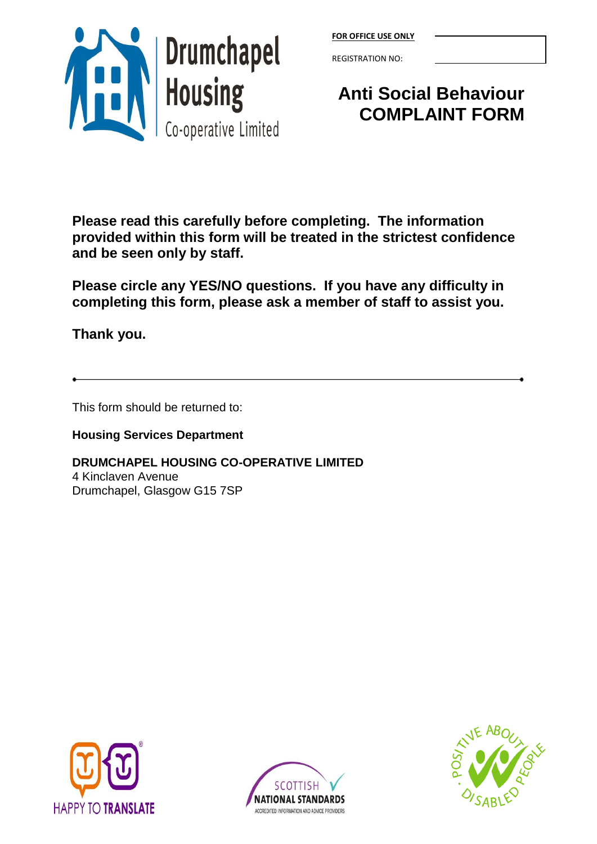

|--|

REGISTRATION NO:

## **Anti Social Behaviour COMPLAINT FORM**

**Please read this carefully before completing. The information provided within this form will be treated in the strictest confidence and be seen only by staff.**

**Please circle any YES/NO questions. If you have any difficulty in completing this form, please ask a member of staff to assist you.**

**Thank you.**

This form should be returned to:

**Housing Services Department**

**DRUMCHAPEL HOUSING CO-OPERATIVE LIMITED** 4 Kinclaven Avenue Drumchapel, Glasgow G15 7SP





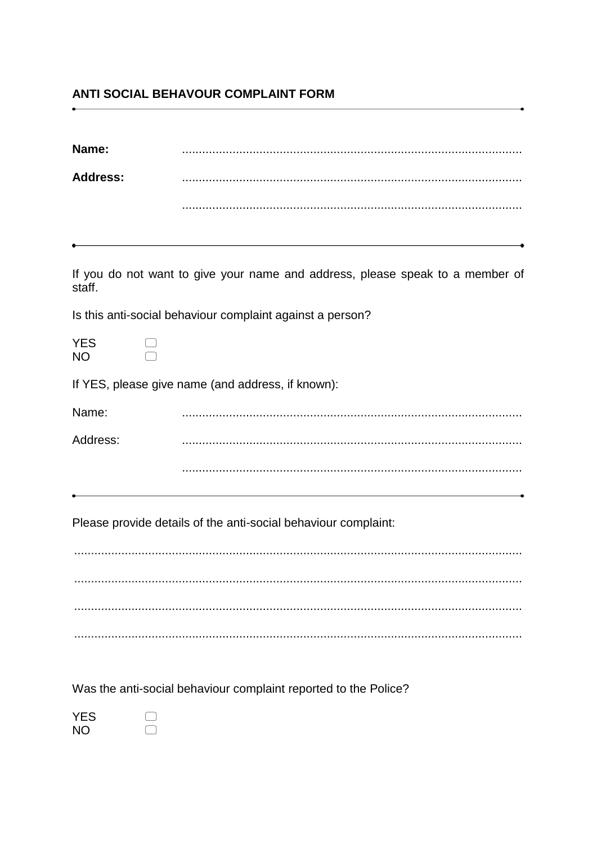## ANTI SOCIAL BEHAVOUR COMPLAINT FORM

| Name:                   |                                                                               |
|-------------------------|-------------------------------------------------------------------------------|
| <b>Address:</b>         |                                                                               |
|                         |                                                                               |
|                         |                                                                               |
| staff.                  | If you do not want to give your name and address, please speak to a member of |
|                         | Is this anti-social behaviour complaint against a person?                     |
| <b>YES</b><br><b>NO</b> |                                                                               |
|                         | If YES, please give name (and address, if known):                             |
| Name:                   |                                                                               |
| Address:                |                                                                               |
|                         |                                                                               |
|                         | Please provide details of the anti-social behaviour complaint:                |
|                         |                                                                               |
|                         |                                                                               |
|                         |                                                                               |

Was the anti-social behaviour complaint reported to the Police?

| YES |  |
|-----|--|
| ΝO  |  |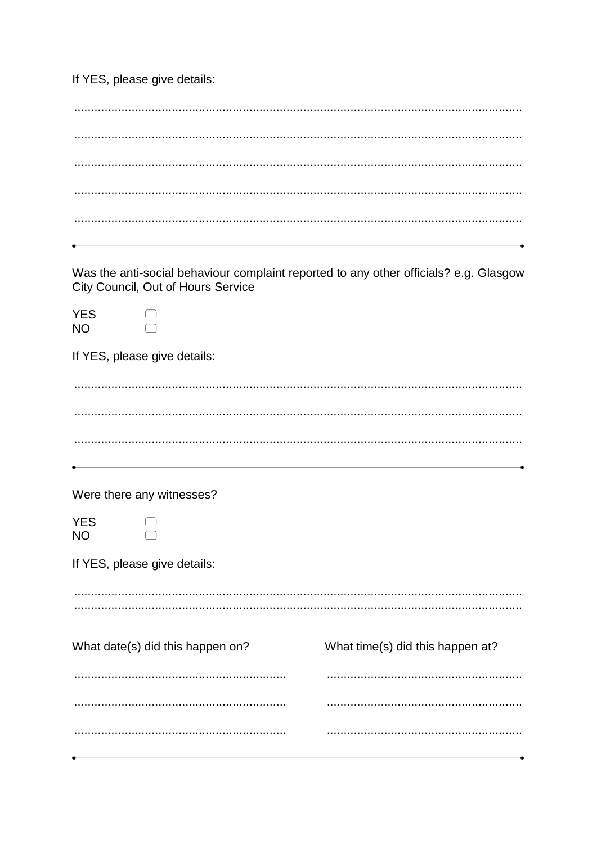If YES, please give details:

|                         | City Council, Out of Hours Service | Was the anti-social behaviour complaint reported to any other officials? e.g. Glasgow |
|-------------------------|------------------------------------|---------------------------------------------------------------------------------------|
| <b>YES</b><br><b>NO</b> |                                    |                                                                                       |
|                         | If YES, please give details:       |                                                                                       |
|                         |                                    |                                                                                       |
|                         |                                    |                                                                                       |
|                         |                                    |                                                                                       |
|                         |                                    |                                                                                       |
|                         | Were there any witnesses?          |                                                                                       |
| <b>YES</b><br><b>NO</b> |                                    |                                                                                       |
|                         | If YES, please give details:       |                                                                                       |
|                         |                                    |                                                                                       |
|                         |                                    |                                                                                       |
|                         | What date(s) did this happen on?   | What time(s) did this happen at?                                                      |
|                         |                                    |                                                                                       |
|                         |                                    |                                                                                       |
|                         |                                    |                                                                                       |